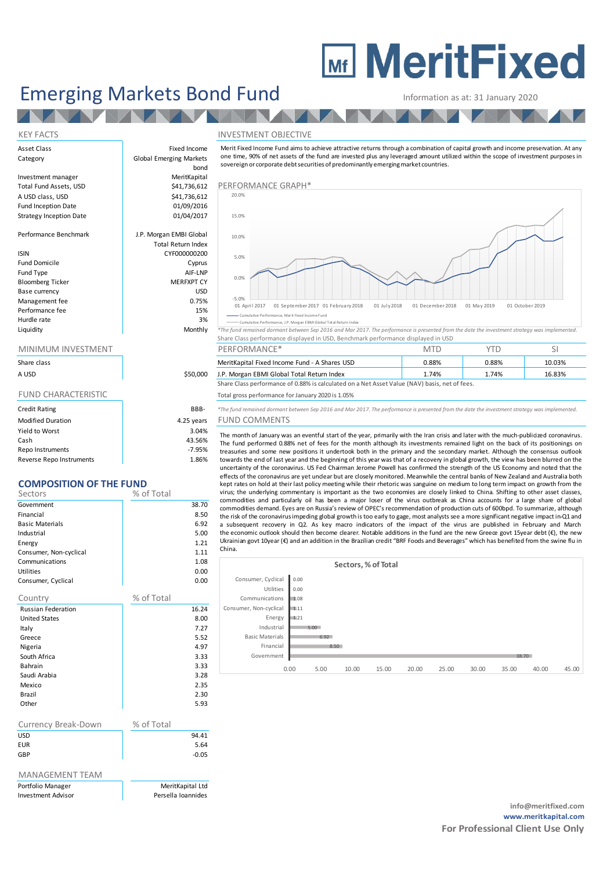# **MEDITY MeritFixed**

## Emerging Markets Bond Fund Information as at: 31 January 2020

**ALAM** 

#### KEY FACTS INVESTMENT OBJECTIVE

| Asset Class |  |
|-------------|--|
| Category    |  |

Strategy Inception Date

| <b>ISIN</b>             | CYF000000200      |
|-------------------------|-------------------|
| <b>Fund Domicile</b>    | Cyprus            |
| Fund Type               | AIF-LNP           |
| <b>Bloomberg Ticker</b> | <b>MERFXPT CY</b> |
| Base currency           | USD               |
| Management fee          | 0.75%             |
| Performance fee         | 15%               |
| Hurdle rate             | 3%                |
| Liquidity               | Monthly           |

| Share class |  |
|-------------|--|
| A USD       |  |

| <b>Credit Rating</b>     | BBB-       |
|--------------------------|------------|
| <b>Modified Duration</b> | 4.25 years |
| Yield to Worst           | 3.04%      |
| Cash                     | 43.56%     |
| Repo Instruments         | $-7.95%$   |
| Reverse Repo Instruments | 1.86%      |

### **COMPOSITION OF THE FUND**

| Sectors                   | % of Total |       |
|---------------------------|------------|-------|
| Government                |            | 38.70 |
| Financial                 |            | 8.50  |
| <b>Basic Materials</b>    |            | 6.92  |
| Industrial                |            | 5.00  |
| Energy                    |            | 1.21  |
| Consumer, Non-cyclical    |            | 1.11  |
| Communications            |            | 1.08  |
| Utilities                 |            | 0.00  |
| Consumer, Cyclical        |            | 0.00  |
| Country                   | % of Total |       |
| <b>Russian Federation</b> |            | 16.24 |
| <b>United States</b>      |            | 8.00  |
| Italy                     |            | 7.27  |
| Greece                    |            | 5.52  |
| Nigeria                   |            | 4.97  |
| South Africa              |            | 3.33  |
| <b>Bahrain</b>            |            | 3.33  |
| Saudi Arabia              |            | 3.28  |
| Mexico                    |            | 2.35  |
| Brazil                    |            | 2.30  |
| Other                     |            | 5.93  |
|                           |            |       |
| Currency Break-Down       | % of Total |       |
| $\overline{11}$           |            | 04.41 |

| Carrency Dican Down | 10011001 |
|---------------------|----------|
| <b>USD</b>          | 94.41    |
| <b>EUR</b>          | 5.64     |
| GBP                 | $-0.05$  |
|                     |          |

MeritKapital Ltd

#### MANAGEMENT TEAM

| Portfolio Manager  | MeritKapital Ltc   |
|--------------------|--------------------|
| Investment Advisor | Persella Ioannides |

Fixed Income Global Emerging Markets bond Investment manager MeritKapital Total Fund Assets, USD | \$41,736,612 PERFORMANCE GRAPH\* A USD class, USD 61,736,612<br>
Fund Inception Date Fund Inception Date<br>
Strategy Inception Date<br>
01/04/2017 Performance Benchmark J.P. Morgan EMBI Global Total Return Index CYF000000200 Cyprus AIF-LNP

Information as at: 31 January 2020<br>
NVESTMENT OBJECTIVE<br>
Merit Fixed Income Fund aims to achieve attractive returns through a combination of capital growth and income preservation. At any<br>
one time, 90% of net assets of th sovereign or corporate debt securities of predominantly emerging market countries.



ance, J.P. Morgan EBMI Gl

Monthly <sup>\*</sup>The fund remained dormant between Sep 2016 and Mar 2017. The performance is presented from the date the investment strategy was implemented Share Class performance displayed in USD, Benchmark performance displayed in USD

| Share class |          | <b>Shares USL</b><br>MeritKapital Fixed Income Fund - A S' | 0.88% | 1.88% | - J.UJ 70 |
|-------------|----------|------------------------------------------------------------|-------|-------|-----------|
| חצו ו ב     | \$50,000 | Morgan FRMI Global<br>l Total Return Index<br>1.5.1        | 74%   | 74%   |           |

A USD **1.P. Morgan EBMI Global Total Return Index** 1.74% 1.74% 1.74% 1.74% 16.83% 16.83% 16.83% 1.74% 16.83% 16.<br>Share Class performance of 0.88% is calculated on a Net Asset Value (NAV) basis, net of fees.

#### FUND CHARACTERISTIC TOTAL TOTAL TOTAL TOTAL TOTAL TOTAL TOTAL TOTAL TOTAL TOTAL TOTAL TOTAL TOTAL TOTAL TOTAL TO

Credit Rating BBB- *\*The fund remained dormant between Sep 2016 and Mar 2017. The performance is presented from the date the investment strategy was implemented.*

### ars FUND COMMENTS

The month of January was an eventful start of the year, primarily with the Iran crisis and later with the much-publicized coronavirus. The fund performed 0.88% net of fees for the month although its investments remained light on the back of its positionings on<br>treasuries and some new positions it undertook both in the primary and the secondary market. Alt The fund remained dormant between Sep 2016 is 1.05%<br>The fund remained dormant between Sep 2016 and Mar 2017. The performance is presented from the date the investment strategy was implemented.<br>TUND COMMENTS<br>The month of Ja uncertainty of the coronavirus. US Fed Chairman Jerome Powell has confirmed the strength of the US Economy and noted that the effects of the coronavirus are yet unclear but are closely monitored. Meanwhile the central banks of New Zealand and Australia both kept rates on hold at their last policy meeting while their rhetoric was sanguine on medium to long term impact on growth from the virus; the underlying commentary is important as the two economies are closely linked to Ch The month of January was an eventful start of the year, primarily with the Iran crisis and later with the much-publicized coronavirus.<br>The fund performed 0.88% net of fees for the month although its investments remained li commodities and particularly oil has been a major loser of the virus outbreak as China accounts for a large share of global<br>commodities demand. Eyes are on Russia's review of OPEC's recommendation of production cuts of 600 treasures and some new possums in the payabons in the purality and the secondary market. Antiong the conservation of the steps bure of the steps bure of the users also be uncertainty of the coronavinus. US Fed Chairman Jer China.

|                        |       |      |       | Sectors, % of Total |       |       |       |       |       |       |
|------------------------|-------|------|-------|---------------------|-------|-------|-------|-------|-------|-------|
| Consumer, Cyclical     | 0.00  |      |       |                     |       |       |       |       |       |       |
| Utilities              | 0.00  |      |       |                     |       |       |       |       |       |       |
| Communications         | 1.08  |      |       |                     |       |       |       |       |       |       |
| Consumer, Non-cyclical | 11.11 |      |       |                     |       |       |       |       |       |       |
| Energy                 | 1.21  |      |       |                     |       |       |       |       |       |       |
| Industrial             |       | 5.00 |       |                     |       |       |       |       |       |       |
| <b>Basic Materials</b> |       | 6.92 |       |                     |       |       |       |       |       |       |
| Financial              |       | 8.50 |       |                     |       |       |       |       |       |       |
| Government             |       |      |       |                     |       |       |       | 38.70 |       |       |
|                        | 0.00  | 5.00 | 10.00 | 15.00               | 20.00 | 25.00 | 30.00 | 35.00 | 40.00 | 45.00 |